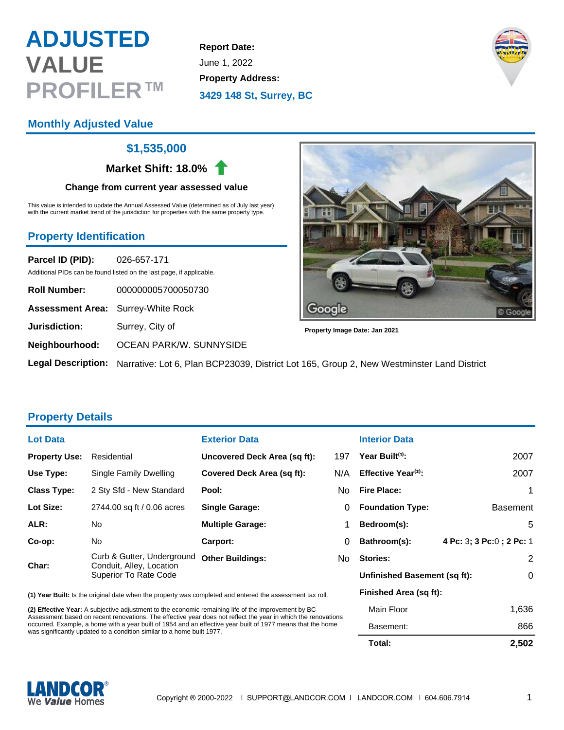# **ADJUSTED VALUE PROFILER™**

**Report Date:** June 1, 2022 **Property Address: 3429 148 St, Surrey, BC**



# **Monthly Adjusted Value**

## **\$1,535,000**

**Market Shift: 18.0%**

#### **Change from current year assessed value**

This value is intended to update the Annual Assessed Value (determined as of July last year) with the current market trend of the jurisdiction for properties with the same property type.

## **Property Identification**

**Parcel ID (PID):** 026-657-171 Additional PIDs can be found listed on the last page, if applicable.

| <b>Roll Number:</b>                       | 000000005700050730                                   |
|-------------------------------------------|------------------------------------------------------|
| <b>Assessment Area:</b> Surrey-White Rock |                                                      |
| <b>Jurisdiction:</b>                      | Surrey, City of                                      |
|                                           | Neighbourhood: OCEAN PARK/W. SUNNYSIDE               |
|                                           | Logal Deceription Linuxing Let C. Dies DCD00000 Dist |



**Property Image Date: Jan 2021**

**Legal Description:** Narrative: Lot 6, Plan BCP23039, District Lot 165, Group 2, New Westminster Land District

## **Property Details**

| <b>Lot Data</b>      |                                                                                        | <b>Exterior Data</b>              |          |
|----------------------|----------------------------------------------------------------------------------------|-----------------------------------|----------|
| <b>Property Use:</b> | Residential                                                                            | Uncovered Deck Area (sq ft):      | 197      |
| Use Type:            | Single Family Dwelling                                                                 | <b>Covered Deck Area (sq ft):</b> | N/A      |
| <b>Class Type:</b>   | 2 Sty Sfd - New Standard                                                               | Pool:                             | No       |
| Lot Size:            | 2744.00 sq ft / 0.06 acres                                                             | <b>Single Garage:</b>             | $\Omega$ |
| ALR:                 | No                                                                                     | <b>Multiple Garage:</b>           | 1        |
| Co-op:               | No.                                                                                    | Carport:                          | 0        |
| Char:                | Curb & Gutter, Underground<br>Conduit, Alley, Location<br><b>Superior To Rate Code</b> | <b>Other Buildings:</b>           | No       |

**(1) Year Built:** Is the original date when the property was completed and entered the assessment tax roll.

**(2) Effective Year:** A subjective adjustment to the economic remaining life of the improvement by BC Assessment based on recent renovations. The effective year does not reflect the year in which the renovations occurred. Example, a home with a year built of 1954 and an effective year built of 1977 means that the home was significantly updated to a condition similar to a home built 1977.

#### **Interior Data**

|    | Total:                          | 2,502                     |  |
|----|---------------------------------|---------------------------|--|
|    | Basement:                       | 866                       |  |
|    | Main Floor                      | 1,636                     |  |
|    | Finished Area (sq ft):          |                           |  |
|    | Unfinished Basement (sq ft):    | 0                         |  |
| ٩o | Stories:                        | 2                         |  |
| 0  | Bathroom(s):                    | 4 Pc: 3; 3 Pc: 0; 2 Pc: 1 |  |
| 1  | Bedroom(s):                     | 5                         |  |
| 0  | <b>Foundation Type:</b>         | <b>Basement</b>           |  |
| ിറ | <b>Fire Place:</b>              | 1                         |  |
| /A | Effective Year <sup>(2)</sup> : | 2007                      |  |
| 97 | Year Built <sup>(1)</sup> :     | 2007                      |  |
|    |                                 |                           |  |

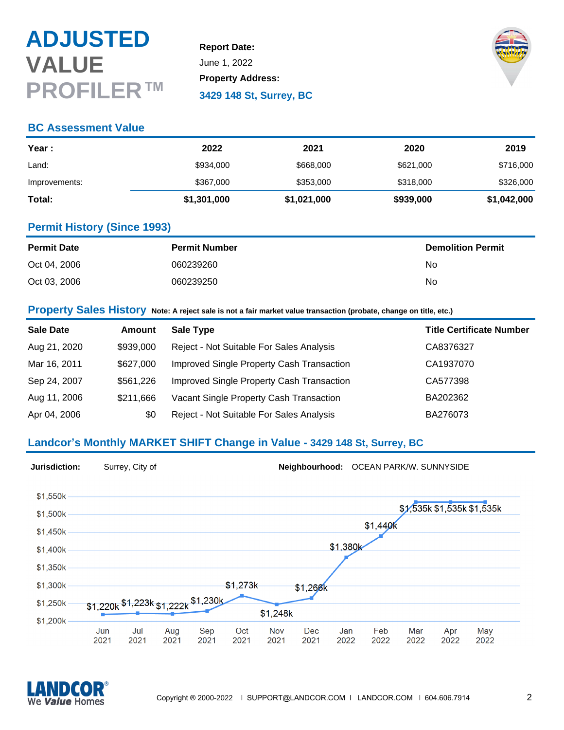# **ADJUSTED VALUE PROFILER™**

**Report Date:** June 1, 2022 **Property Address: 3429 148 St, Surrey, BC**



### **BC Assessment Value**

| Year :        | 2022        | 2021        | 2020      | 2019        |
|---------------|-------------|-------------|-----------|-------------|
| Land:         | \$934,000   | \$668,000   | \$621,000 | \$716,000   |
| Improvements: | \$367,000   | \$353,000   | \$318,000 | \$326,000   |
| Total:        | \$1,301,000 | \$1,021,000 | \$939,000 | \$1,042,000 |

### **Permit History (Since 1993)**

| <b>Permit Date</b> | <b>Permit Number</b> | <b>Demolition Permit</b> |
|--------------------|----------------------|--------------------------|
| Oct 04, 2006       | 060239260            | No                       |
| Oct 03, 2006       | 060239250            | No                       |

**Property Sales History Note: A reject sale is not a fair market value transaction (probate, change on title, etc.)**

| <b>Sale Date</b> | Amount    | Sale Type                                 | <b>Title Certificate Number</b> |
|------------------|-----------|-------------------------------------------|---------------------------------|
| Aug 21, 2020     | \$939,000 | Reject - Not Suitable For Sales Analysis  | CA8376327                       |
| Mar 16, 2011     | \$627,000 | Improved Single Property Cash Transaction | CA1937070                       |
| Sep 24, 2007     | \$561,226 | Improved Single Property Cash Transaction | CA577398                        |
| Aug 11, 2006     | \$211,666 | Vacant Single Property Cash Transaction   | BA202362                        |
| Apr 04, 2006     | \$0       | Reject - Not Suitable For Sales Analysis  | BA276073                        |

# **Landcor's Monthly MARKET SHIFT Change in Value - 3429 148 St, Surrey, BC**